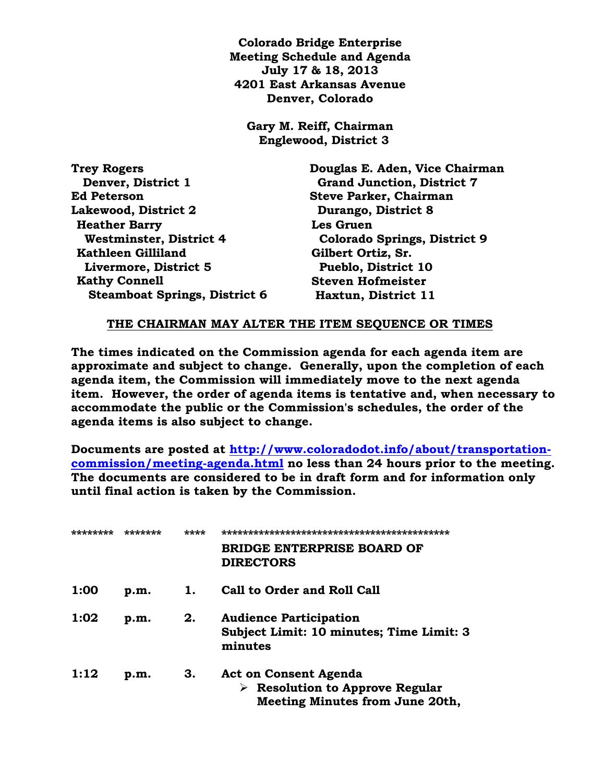**Colorado Bridge Enterprise Meeting Schedule and Agenda July 17 & 18, 2013 4201 East Arkansas Avenue Denver, Colorado**

**Gary M. Reiff, Chairman Englewood, District 3**

| Douglas E. Aden, Vice Chairman      |
|-------------------------------------|
| <b>Grand Junction, District 7</b>   |
| <b>Steve Parker, Chairman</b>       |
| Durango, District 8                 |
| Les Gruen                           |
| <b>Colorado Springs, District 9</b> |
| Gilbert Ortiz, Sr.                  |
| <b>Pueblo, District 10</b>          |
| <b>Steven Hofmeister</b>            |
| Haxtun, District 11                 |
|                                     |

## **THE CHAIRMAN MAY ALTER THE ITEM SEQUENCE OR TIMES**

**The times indicated on the Commission agenda for each agenda item are approximate and subject to change. Generally, upon the completion of each agenda item, the Commission will immediately move to the next agenda item. However, the order of agenda items is tentative and, when necessary to accommodate the public or the Commission's schedules, the order of the agenda items is also subject to change.**

**Documents are posted at [http://www.coloradodot.info/about/transportation](http://www.coloradodot.info/about/transportation-commission/meeting-agenda.html)[commission/meeting-agenda.html](http://www.coloradodot.info/about/transportation-commission/meeting-agenda.html) no less than 24 hours prior to the meeting. The documents are considered to be in draft form and for information only until final action is taken by the Commission.**

|      |      | **** | નાં નાંતનાં નાંતનાં નાંતનાં નાંતનાં નાંતનાં નાંતનાં નાંતનાં નાંતનાં નાંતનાં નાંતનાં નાંતનાં નાંતનાં નાંતનાં નાંત<br>નાંતનાં નાંતનાં નાંતનાં નાંતનાં નાંતનાં નાંતનાં નાંતનાં નાંતનાં નાંતનાં નાંતનાં નાંતનાં નાંતનાં નાંતનાં નાંત |
|------|------|------|----------------------------------------------------------------------------------------------------------------------------------------------------------------------------------------------------------------------------------|
|      |      |      | BRIDGE ENTERPRISE BOARD OF<br><b>DIRECTORS</b>                                                                                                                                                                                   |
| 1:00 | p.m. | ı.   | <b>Call to Order and Roll Call</b>                                                                                                                                                                                               |
| 1:02 | p.m. | 2.   | <b>Audience Participation</b><br>Subject Limit: 10 minutes; Time Limit: 3<br>minutes                                                                                                                                             |
| 1:12 | p.m. | З.   | <b>Act on Consent Agenda</b><br>$\triangleright$ Resolution to Approve Regular<br><b>Meeting Minutes from June 20th,</b>                                                                                                         |